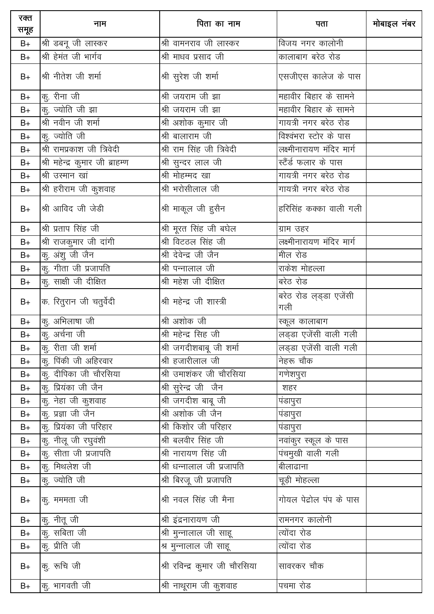| रक्त<br>समूह | नाम                             | पिता का नाम                    | पता                           | मोबाइल नंबर |
|--------------|---------------------------------|--------------------------------|-------------------------------|-------------|
| $B+$         | श्री डबनू जी लास्कर             | श्री वामनराव जी लास्कर         | विजय नगर कालोनी               |             |
| $B+$         | श्री हेमंत जी भार्गव            | श्री माधव प्रसाद जी            | कालाबाग बरेठ रोड              |             |
| $B+$         | श्री नीतेश जी शर्मा             | श्री सुरेश जी शर्मा            | एसजीएस कालेज के पास           |             |
| $B+$         | कु. रीना जी                     | श्री जयराम जी झा               | महावीर बिहार के सामने         |             |
| $B+$         | कु. ज्योति जी झा                | श्री जयराम जी झा               | महावीर बिहार के सामने         |             |
| $B+$         | श्री नवीन जी शर्मा              | श्री अशोक कुमार जी             | गायत्री नगर बरेठ रोड          |             |
| $B+$         | कु. ज्योति जी                   | श्री बालाराम जी                | विश्वंभरा स्टोर के पास        |             |
| $B+$         | श्री रामप्रकाश जी त्रिवेदी      | श्री राम सिंह जी त्रिवेदी      | लक्ष्मीनारायण मंदिर मार्ग     |             |
| $B+$         | श्री महेन्द्र कुमार जी ब्राहम्ण | श्री सुन्दर लाल जी             | स्टैंर्ड फलार के पास          |             |
| $B+$         | श्री उस्मान खां                 | श्री मोहम्मद खा                | गायत्री नगर बरेठ रोड          |             |
| $B+$         | श्री हरीराम जी कुशवाह           | श्री भरोसीलाल जी               | गायत्री नगर बरेठ रोड          |             |
| $B+$         | श्री आविद जी जेडी               | श्री माकूल जी हुसैन            | हरिसिंह कक्का वाली गली        |             |
| $B+$         | श्री प्रताप सिंह जी             | श्री मूरत सिंह जी बघेल         | ग्राम उहर                     |             |
| $B+$         | श्री राजकुमार जी दांगी          | श्री विटठल सिंह जी             | लक्ष्मीनारायण मंदिर मार्ग     |             |
| $B+$         | कु. अंशु जी जैन                 | श्री देवेन्द्र जी जैन          | मील रोड                       |             |
| $B+$         | कु. गीता जी प्रजापति            | श्री पन्नालाल जी               | राकेश मोहल्ला                 |             |
| $B+$         | कु. साक्षी जी दीक्षित           | श्री महेश जी दीक्षित           | बरेठ रोड                      |             |
| $B+$         | क. रितुरान जी चतुर्वेदी         | श्री महेन्द्र जी शास्त्री      | बरेठ रोड ल्ड्डा एजेंसी<br>गली |             |
| $B+$         | कु. अभिलाषा जी                  | श्री अशोक जी                   | स्कूल कालाबाग                 |             |
| $B+$         | कु. अर्चना जी                   | श्री महेन्द्र सिह जी           | लड्डा एजेंसी वाली गली         |             |
| $B+$         | $\sigma$ ़रीता जी शर्मा         | श्री जगदीशबाबू जी शर्मा        | लड्डा एजेंसी वाली गली         |             |
| $B+$         | कु. पिंकी जी अहिरवार            | श्री हजारीलाल जी               | नेहरू चौक                     |             |
| $B+$         | कू. दीपिका जी चौरसिया           | श्री उमाशंकर जी चौरसिया        | गणेशपुरा                      |             |
| $B+$         | कु. प्रियंका जी जैन             | श्री सुरेन्द्र जी जैन          | शहर                           |             |
| $B+$         | कु. नेहा जी कुशवाह              | <u>श्री जग</u> दीश बाबू जी     | पंडापुरा                      |             |
| $B+$         | कु. प्रज्ञा जी जैन              | श्री अशोक जी जैन               | पंडापुरा                      |             |
| $B+$         | कु. प्रियंका जी परिहार          | श्री किशोर जी परिहार           | पंडापुरा                      |             |
| $B+$         | कु. नीलू जी रघुवंशी             | श्री बलवीर सिंह जी             | नवांकुर स्कूल के पास          |             |
| $B+$         | कु. सीता जी प्रजापति            | श्री नारायण सिंह जी            | पंचमुखी वाली गली              |             |
| $B+$         | कु. मिथलेश जी                   | श्री धन्नालाल जी प्रजापति      | बीलाढाना                      |             |
| $B+$         | क्, ज्योति जी                   | श्री बिरजू जी प्रजापति         | चूड़ी मोहल्ला                 |             |
| $B+$         | कु. मममता जी                    | श्री नवल सिंह जी मैना          | गोयल पेद्रोल पंप के पास       |             |
| $B+$         | कु. नीतू जी                     | श्री इंद्रनारायण जी            | रामनगर कालोनी                 |             |
| $B+$         | कु. सबिता जी                    | श्री मुन्नालाल जी साहू         | त्योंदा रोड                   |             |
| $B+$         | कु. प्रीति जी                   | श्र मुन्नालाल जी साहू          | त्योंदा रोड                   |             |
| $B+$         | कु. रूचि जी                     | श्री रविन्द्र कुमार जी चौरसिया | सावरकर चौक                    |             |
| $B+$         | कु. भागवती जी                   | श्री नाथूराम जी कुशवाह         | पचमा रोड                      |             |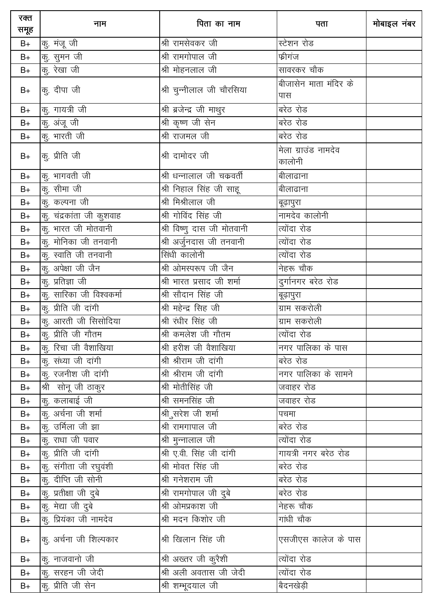| रक्त<br>समूह | नाम                               | पिता का नाम                | पता                           | मोबाइल नंबर |
|--------------|-----------------------------------|----------------------------|-------------------------------|-------------|
| $B+$         | $\sigma$ मंजू जी                  | श्री रामसेवकर जी           | स्टेशन रोड                    |             |
| $B+$         | कु. सुमन जी                       | श्री रामगोपाल जी           | फ्रीगंज                       |             |
| $B+$         | कु. रेखा जी                       | श्री मोहनलाल जी            | सावरकर चौक                    |             |
| $B+$         | कु. दीपा जी                       | श्री चुन्नीलाल जी चौरसिया  | बीजासेन माता मंदिर के<br>पास  |             |
| $B+$         | कु. गायत्री जी                    | श्री ब्रजेन्द्र जी माथुर   | बरेठ रोड                      |             |
| $B+$         | कु. अंजू जी                       | श्री कृष्ण जी सेन          | बरेठ रोड                      |             |
| $B+$         | कु. भारती जी                      | श्री राजमल जी              | बरेठ रोड                      |             |
| $B+$         | कु. प्रीति जी                     | श्री दामोदर जी             | मेला ग्राउंड नामदेव<br>कालोनी |             |
| $B+$         | कु. भागवती जी                     | श्री धन्नालाल जी चकवर्ती   | बीलाढाना                      |             |
| $B+$         | $\overline{\mathrm{q}}$ ़ सीमा जी | श्री निहाल सिंह जी साहू    | बीलाढाना                      |             |
| $B+$         | कु. कल्पना जी                     | श्री मिश्रीलाल जी          | बूढ़ापुरा                     |             |
| $B+$         | कु. चंद्रकांता जी कुशवाह          | श्री गोविंद सिंह जी        | नामदेव कालोनी                 |             |
| $B+$         | कु. भारत जी मोतवानी               | श्री विष्णु दास जी मोतवानी | त्योंदा रोड                   |             |
| $B+$         | कु. मोनिका जी तनवानी              | श्री अर्जुनदास जी तनवानी   | त्योंदा रोड                   |             |
| $B+$         | कु. स्वाति जी तनवानी              | सिंधी कालोनी               | त्योंदा रोड                   |             |
| $B+$         | कु. अपेक्षा जी जैन                | श्री ओमस्परूप जी जैन       | नेहरू चौक                     |             |
| $B+$         | कु. प्रतिज्ञा जी                  | श्री भारत प्रसाद जी शर्मा  | दुर्गानगर बरेठ रोड            |             |
| $B+$         | कु. सारिका जी विश्वकर्मा          | श्री सौदान सिंह जी         | बूढ़ापुरा                     |             |
| $B+$         | कु. प्रीति जी दांगी               | श्री महेन्द्र सिह जी       | ग्राम सकरोली                  |             |
| $B+$         | कु. आरती जी सिसोदिया              | श्री रंधीर सिंह जी         | ग्राम सकरोली                  |             |
| $B+$         | कू. प्रीति जी गौतम                | श्री कमलेश जी गौतम         | त्योंदा रोड                   |             |
| $B+$         | कु. रिचा जी वैशाखिया              | श्री हरीश जी वैशाखिया      | नगर पालिका के पास             |             |
| $B+$         | कु. संध्या जी दांगी               | श्री श्रीराम जी दांगी      | बरेठ रोड                      |             |
| $B+$         | कु. रजनीश जी दांगी                | श्री श्रीराम जी दांगी      | नगर पालिका के सामने           |             |
| $B+$         | श्री सोनू जी ठाकुर                | श्री मोतीसिंह जी           | जवाहर रोड                     |             |
| $B+$         | कु. कलाबाई जी                     | श्री समनसिंह जी            | जवाहर रोड                     |             |
| $B+$         | कु. अर्चना जी शर्मा               | श्री सरेश जी शर्मा         | पचमा                          |             |
| $B+$         | कु. उर्मिला जी झा                 | श्री रामगापाल जी           | बरेठ रोड                      |             |
| $B+$         | कु. राधा जी पवार                  | श्री मुन्नालाल जी          | त्योंदा रोड                   |             |
| $B+$         | कु. प्रीति जी दांगी               | श्री ए.वी. सिंह जी दांगी   | गायत्री नगर बरेठ रोड          |             |
| $B+$         | कु. संगीता जी रघुवंशी             | श्री मोवत सिंह जी          | बरेठ रोड                      |             |
| $B+$         | कु. दीप्ति जी सोनी                | श्री गनेशराम जी            | बरेठ रोड                      |             |
| $B+$         | कु. प्रतीक्षा जी दुबे             | श्री रामगोपाल जी दुबे      | बरेठ रोड                      |             |
| $B+$         | कु. मेद्या जी दुबे                | श्री ओमप्रकाश जी           | नेहरू चौक                     |             |
| $B+$         | कु. प्रियंका जी नामदेव            | श्री मदन किशोर जी          | गांधी चौक                     |             |
| $B+$         | कु. अर्चना जी शिल्पकार            | श्री खिलान सिंह जी         | एसजीएस कालेज के पास           |             |
| $B+$         | कू. नाजवानो जी                    | श्री अख्तर जी कुरैशी       | त्योंदा रोड                   |             |
| $B+$         | कु. सरहन जी जेदी                  | श्री अली अवतास जी जेदी     | त्योंदा रोड                   |             |
| $B+$         | कु. प्रीति जी सेन                 | श्री शम्भूदयाल जी          | बैदनखेड़ी                     |             |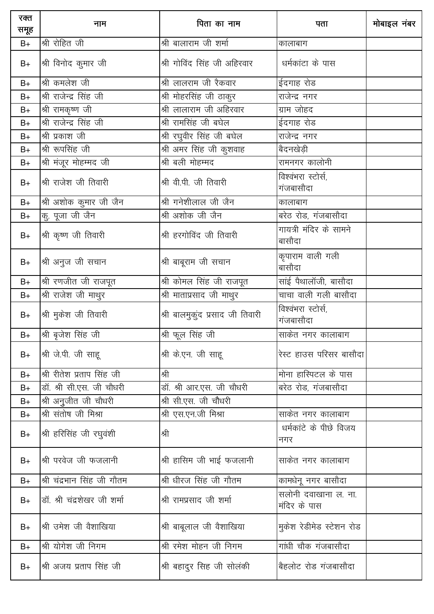| रक्त<br>समूह | नाम                           | पिता का नाम                     | पता                                  | मोबाइल नंबर |
|--------------|-------------------------------|---------------------------------|--------------------------------------|-------------|
| $B+$         | श्री रोहित जी                 | श्री बालाराम जी शर्मा           | कालाबाग                              |             |
| $B+$         | श्री विनोद कुमार जी           | श्री गोविंद सिंह जी अहिरवार     | धर्मकांटा के पास                     |             |
| $B+$         | श्री कमलेश जी                 | श्री लालराम जी रैकवार           | ईदगाह रोड                            |             |
| $B+$         | श्री राजेन्द्र सिंह जी        | श्री मोहरसिंह जी ठाकुर          | राजेन्द्र नगर                        |             |
| $B+$         | श्री रामकृष्ण जी              | श्री लालाराम जी अहिरवार         | ग्राम जोहद                           |             |
| $B+$         | श्री राजेन्द्र सिंह जी        | श्री रामसिंह जी बघेल            | ईदगाह रोड                            |             |
| $B+$         | श्री प्रकाश जी                | श्री रघुवीर सिंह जी बघेल        | राजेन्द्र नगर                        |             |
| $B+$         | श्री रूपसिंह जी               | श्री अमर सिंह जी कुशवाह         | बैदनखेड़ी                            |             |
| $B+$         | श्री मंजूर मोहम्मद जी         | श्री बली मोहम्मद                | रामनगर कालोनी                        |             |
| $B+$         | श्री राजेश जी तिवारी          | श्री वी.पी. जी तिवारी           | विश्वंभरा स्टोर्स,<br>गंजबासौदा      |             |
| $B+$         | श्री अशोक कुमार जी जैन        | श्री गनेशीलाल जी जैन            | कालाबाग                              |             |
| $B+$         | कु. पूजा जी जैन               | श्री अशोक जी जैन                | बरेठ रोड, गंजबासौदा                  |             |
| $B+$         | श्री कृष्ण जी तिवारी          | श्री हरगोविंद जी तिवारी         | गायत्री मंदिर के सामने<br>बासौदा     |             |
| $B+$         | श्री अनुज जी सचान             | श्री बाबूराम जी सचान            | कृपाराम वाली गली<br>बासौदा           |             |
| $B+$         | श्री रणजीत जी राजपूत          | श्री कोमल सिंह जी राजपूत        | साई पैथालॉजी, बासौदा                 |             |
| $B+$         | श्री राजेश जी माथुर           | श्री माताप्रसाद जी माथुर        | चाचा वाली गली बासौदा                 |             |
| $B+$         | श्री मुकेश जी तिवारी          | श्री बालमुकुंद प्रसाद जी तिवारी | विश्वंभरा स्टोर्स,<br>गंजबासौदा      |             |
| $B+$         | $ \mathcal{A} $ बृजेश सिंह जी | श्री फूल सिंह जी                | साकेत नगर कालाबाग                    |             |
| $B+$         | श्री जे.पी. जी साहू           | श्री के.एन. जी साहू             | रेस्ट हाउस परिसर बासौदा              |             |
| $B+$         | श्री रीतेश प्रताप सिंह जी     | श्री                            | मोना हास्पिटल के पास                 |             |
| $B+$         | डॉ. श्री सी.एस. जी चौधरी      | डॉ. श्री आर.एस. जी चौधरी        | बरेठ रोड, गंजबासौदा                  |             |
| $B+$         | श्री अनुजीत जी चौधरी          | श्री सी.एस. जी चौधरी            |                                      |             |
| $B+$         | श्री संतोष जी मिश्रा          | श्री एस.एन.जी मिश्रा            | साकेत नगर कालाबाग                    |             |
| $B+$         | श्री हरिसिंह जी रघुवंशी       | श्री                            | धर्मकांटे के पीछे विजय<br>नगर        |             |
| $B+$         | श्री परवेज जी फजलानी          | श्री हासिम जी भाई फजलानी        | साकेत नगर कालाबाग                    |             |
| $B+$         | श्री चंद्रभान सिंह जी गौतम    | श्री धीरज सिंह जी गौतम          | कामधेनू नगर बासौदा                   |             |
| $B+$         | डॉ. श्री चंद्रशेखर जी शर्मा   | श्री रामप्रसाद जी शर्मा         | सलोनी दवाखाना ल. ना.<br>मंदिर के पास |             |
| $B+$         | श्री उमेश जी वैशाखिया         | श्री बाबूलाल जी वैशाखिया        | मुकेश रेडीमेड स्टेशन रोड             |             |
| $B+$         | श्री योगेश जी निगम            | श्री रमेश मोहन जी निगम          | गांधी चौक गंजबासौदा                  |             |
| $B+$         | श्री अजय प्रताप सिंह जी       | श्री बहादुर सिह जी सोलंकी       | बैहलोट रोड गंजबासौदा                 |             |